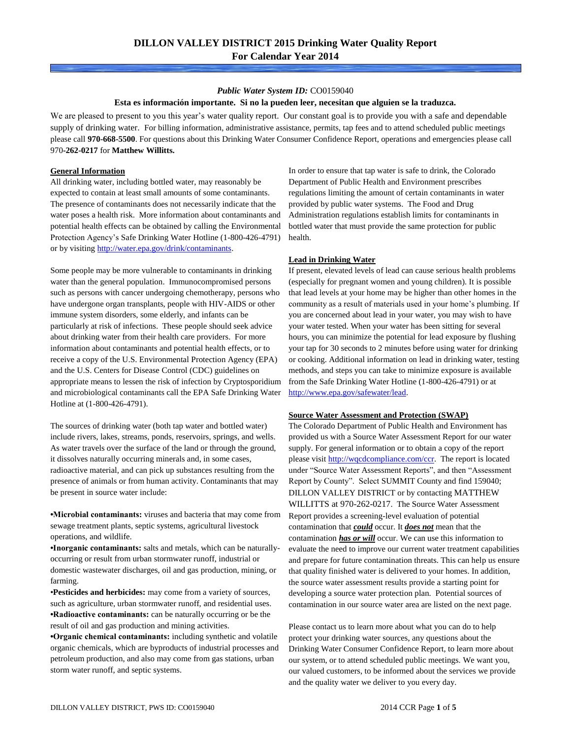## *Public Water System ID:* CO0159040

### **Esta es información importante. Si no la pueden leer, necesitan que alguien se la traduzca.**

We are pleased to present to you this year's water quality report. Our constant goal is to provide you with a safe and dependable supply of drinking water. For billing information, administrative assistance, permits, tap fees and to attend scheduled public meetings please call **970-668-5500**. For questions about this Drinking Water Consumer Confidence Report, operations and emergencies please call 970**-262-0217** for **Matthew Willitts.**

#### **General Information**

All drinking water, including bottled water, may reasonably be expected to contain at least small amounts of some contaminants. The presence of contaminants does not necessarily indicate that the water poses a health risk. More information about contaminants and potential health effects can be obtained by calling the Environmental Protection Agency's Safe Drinking Water Hotline (1-800-426-4791) or by visiting [http://water.epa.gov/drink/contaminants.](http://water.epa.gov/drink/contaminants)

Some people may be more vulnerable to contaminants in drinking water than the general population. Immunocompromised persons such as persons with cancer undergoing chemotherapy, persons who have undergone organ transplants, people with HIV-AIDS or other immune system disorders, some elderly, and infants can be particularly at risk of infections. These people should seek advice about drinking water from their health care providers. For more information about contaminants and potential health effects, or to receive a copy of the U.S. Environmental Protection Agency (EPA) and the U.S. Centers for Disease Control (CDC) guidelines on appropriate means to lessen the risk of infection by Cryptosporidium and microbiological contaminants call the EPA Safe Drinking Water Hotline at (1-800-426-4791).

The sources of drinking water (both tap water and bottled water) include rivers, lakes, streams, ponds, reservoirs, springs, and wells. As water travels over the surface of the land or through the ground, it dissolves naturally occurring minerals and, in some cases, radioactive material, and can pick up substances resulting from the presence of animals or from human activity. Contaminants that may be present in source water include:

**•Microbial contaminants:** viruses and bacteria that may come from sewage treatment plants, septic systems, agricultural livestock operations, and wildlife.

**•Inorganic contaminants:** salts and metals, which can be naturallyoccurring or result from urban stormwater runoff, industrial or domestic wastewater discharges, oil and gas production, mining, or farming.

•**Pesticides and herbicides:** may come from a variety of sources, such as agriculture, urban stormwater runoff, and residential uses. **•Radioactive contaminants:** can be naturally occurring or be the result of oil and gas production and mining activities.

**•Organic chemical contaminants:** including synthetic and volatile organic chemicals, which are byproducts of industrial processes and petroleum production, and also may come from gas stations, urban storm water runoff, and septic systems.

In order to ensure that tap water is safe to drink, the Colorado Department of Public Health and Environment prescribes regulations limiting the amount of certain contaminants in water provided by public water systems. The Food and Drug Administration regulations establish limits for contaminants in bottled water that must provide the same protection for public health.

#### **Lead in Drinking Water**

If present, elevated levels of lead can cause serious health problems (especially for pregnant women and young children). It is possible that lead levels at your home may be higher than other homes in the community as a result of materials used in your home's plumbing. If you are concerned about lead in your water, you may wish to have your water tested. When your water has been sitting for several hours, you can minimize the potential for lead exposure by flushing your tap for 30 seconds to 2 minutes before using water for drinking or cooking. Additional information on lead in drinking water, testing methods, and steps you can take to minimize exposure is available from the Safe Drinking Water Hotline (1-800-426-4791) or at [http://www.epa.gov/safewater/lead.](http://www.epa.gov/safewater/lead) 

### **Source Water Assessment and Protection (SWAP)**

The Colorado Department of Public Health and Environment has provided us with a Source Water Assessment Report for our water supply. For general information or to obtain a copy of the report please visit [http://wqcdcompliance.com/ccr.](http://wqcdcompliance.com/ccr) The report is located under "Source Water Assessment Reports", and then "Assessment Report by County". Select SUMMIT County and find 159040; DILLON VALLEY DISTRICT or by contacting MATTHEW WILLITTS at 970-262-0217. The Source Water Assessment Report provides a screening-level evaluation of potential contamination that *could* occur. It *does not* mean that the contamination *has or will* occur. We can use this information to evaluate the need to improve our current water treatment capabilities and prepare for future contamination threats. This can help us ensure that quality finished water is delivered to your homes. In addition, the source water assessment results provide a starting point for developing a source water protection plan. Potential sources of contamination in our source water area are listed on the next page.

Please contact us to learn more about what you can do to help protect your drinking water sources, any questions about the Drinking Water Consumer Confidence Report, to learn more about our system, or to attend scheduled public meetings. We want you, our valued customers, to be informed about the services we provide and the quality water we deliver to you every day.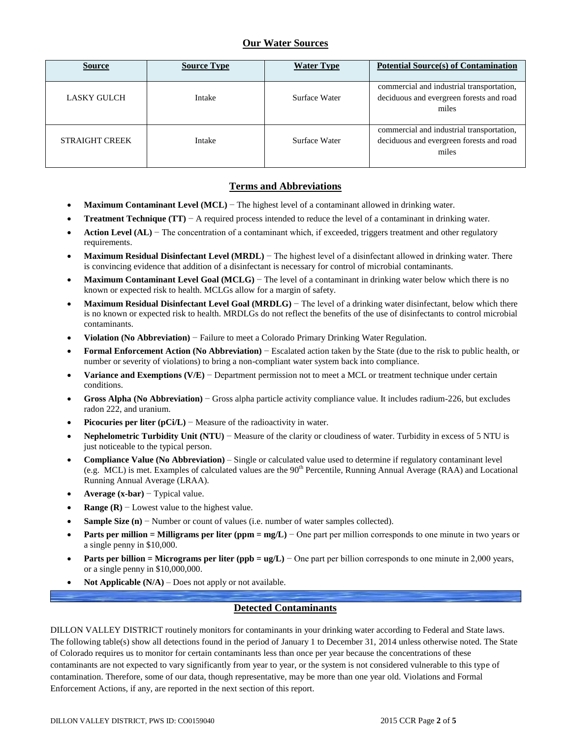# **Our Water Sources**

| <b>Source</b>         | <b>Source Type</b> | <b>Water Type</b> | <b>Potential Source(s) of Contamination</b>                                                    |
|-----------------------|--------------------|-------------------|------------------------------------------------------------------------------------------------|
| <b>LASKY GULCH</b>    | Intake             | Surface Water     | commercial and industrial transportation,<br>deciduous and evergreen forests and road<br>miles |
| <b>STRAIGHT CREEK</b> | Intake             | Surface Water     | commercial and industrial transportation,<br>deciduous and evergreen forests and road<br>miles |

## **Terms and Abbreviations**

- **Maximum Contaminant Level (MCL)** − The highest level of a contaminant allowed in drinking water.
- **Treatment Technique (TT)** − A required process intended to reduce the level of a contaminant in drinking water.
- **Action Level (AL)** − The concentration of a contaminant which, if exceeded, triggers treatment and other regulatory requirements.
- **Maximum Residual Disinfectant Level (MRDL)** − The highest level of a disinfectant allowed in drinking water. There is convincing evidence that addition of a disinfectant is necessary for control of microbial contaminants.
- **Maximum Contaminant Level Goal (MCLG)** − The level of a contaminant in drinking water below which there is no known or expected risk to health. MCLGs allow for a margin of safety.
- **Maximum Residual Disinfectant Level Goal (MRDLG)** − The level of a drinking water disinfectant, below which there is no known or expected risk to health. MRDLGs do not reflect the benefits of the use of disinfectants to control microbial contaminants.
- **Violation (No Abbreviation)** − Failure to meet a Colorado Primary Drinking Water Regulation.
- **Formal Enforcement Action (No Abbreviation)** − Escalated action taken by the State (due to the risk to public health, or number or severity of violations) to bring a non-compliant water system back into compliance.
- **Variance and Exemptions (V/E)** − Department permission not to meet a MCL or treatment technique under certain conditions.
- **Gross Alpha (No Abbreviation)** − Gross alpha particle activity compliance value. It includes radium-226, but excludes radon 222, and uranium.
- **Picocuries per liter (pCi/L)** − Measure of the radioactivity in water.
- **Nephelometric Turbidity Unit (NTU)** − Measure of the clarity or cloudiness of water. Turbidity in excess of 5 NTU is just noticeable to the typical person.
- **Compliance Value (No Abbreviation)** Single or calculated value used to determine if regulatory contaminant level (e.g. MCL) is met. Examples of calculated values are the  $90<sup>th</sup>$  Percentile, Running Annual Average (RAA) and Locational Running Annual Average (LRAA).
- **Average (x-bar)** − Typical value.
- **Range (R)**  $-$  Lowest value to the highest value.
- **Sample Size (n)** − Number or count of values (i.e. number of water samples collected).
- **Parts per million = Milligrams per liter (ppm = mg/L)** − One part per million corresponds to one minute in two years or a single penny in \$10,000.
- **Parts per billion = Micrograms per liter (ppb = ug/L)** − One part per billion corresponds to one minute in 2,000 years, or a single penny in \$10,000,000.
- **Not Applicable (N/A)** Does not apply or not available.

## **Detected Contaminants**

DILLON VALLEY DISTRICT routinely monitors for contaminants in your drinking water according to Federal and State laws. The following table(s) show all detections found in the period of January 1 to December 31, 2014 unless otherwise noted. The State of Colorado requires us to monitor for certain contaminants less than once per year because the concentrations of these contaminants are not expected to vary significantly from year to year, or the system is not considered vulnerable to this type of contamination. Therefore, some of our data, though representative, may be more than one year old. Violations and Formal Enforcement Actions, if any, are reported in the next section of this report.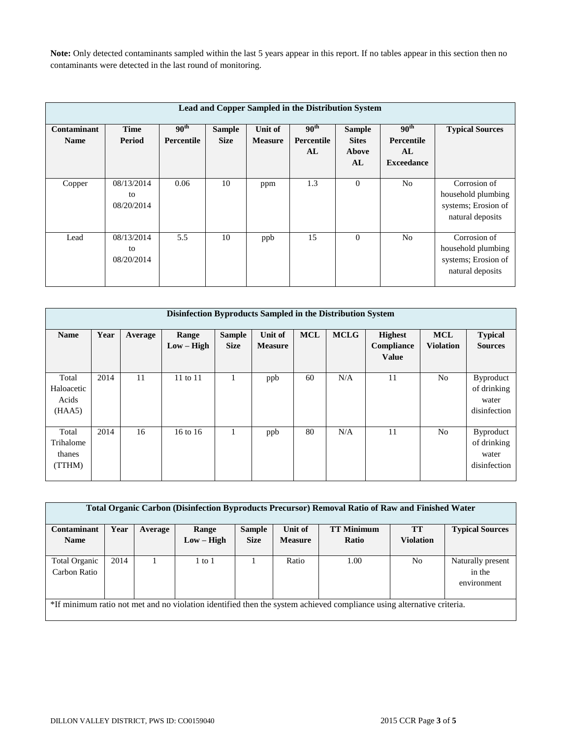**Note:** Only detected contaminants sampled within the last 5 years appear in this report. If no tables appear in this section then no contaminants were detected in the last round of monitoring.

| Lead and Copper Sampled in the Distribution System |                                |                                       |                              |                           |                                             |                                              |                                                                  |                                                                               |  |  |
|----------------------------------------------------|--------------------------------|---------------------------------------|------------------------------|---------------------------|---------------------------------------------|----------------------------------------------|------------------------------------------------------------------|-------------------------------------------------------------------------------|--|--|
| Contaminant<br><b>Name</b>                         | Time<br>Period                 | 90 <sup>th</sup><br><b>Percentile</b> | <b>Sample</b><br><b>Size</b> | Unit of<br><b>Measure</b> | 90 <sup>th</sup><br><b>Percentile</b><br>AL | <b>Sample</b><br><b>Sites</b><br>Above<br>AL | 90 <sup>th</sup><br><b>Percentile</b><br>AL<br><b>Exceedance</b> | <b>Typical Sources</b>                                                        |  |  |
| Copper                                             | 08/13/2014<br>to<br>08/20/2014 | 0.06                                  | 10                           | ppm                       | 1.3                                         | $\theta$                                     | N <sub>0</sub>                                                   | Corrosion of<br>household plumbing<br>systems; Erosion of<br>natural deposits |  |  |
| Lead                                               | 08/13/2014<br>to<br>08/20/2014 | 5.5                                   | 10                           | ppb                       | 15                                          | $\Omega$                                     | N <sub>o</sub>                                                   | Corrosion of<br>household plumbing<br>systems; Erosion of<br>natural deposits |  |  |

|                                        | Disinfection Byproducts Sampled in the Distribution System |         |                       |                              |                           |            |             |                                              |                                |                                                          |  |  |
|----------------------------------------|------------------------------------------------------------|---------|-----------------------|------------------------------|---------------------------|------------|-------------|----------------------------------------------|--------------------------------|----------------------------------------------------------|--|--|
| <b>Name</b>                            | Year                                                       | Average | Range<br>$Low - High$ | <b>Sample</b><br><b>Size</b> | Unit of<br><b>Measure</b> | <b>MCL</b> | <b>MCLG</b> | <b>Highest</b><br>Compliance<br><b>Value</b> | <b>MCL</b><br><b>Violation</b> | <b>Typical</b><br><b>Sources</b>                         |  |  |
| Total<br>Haloacetic<br>Acids<br>(HAA5) | 2014                                                       | 11      | $11$ to $11$          |                              | ppb                       | 60         | N/A         | 11                                           | N <sub>0</sub>                 | <b>Byproduct</b><br>of drinking<br>water<br>disinfection |  |  |
| Total<br>Trihalome<br>thanes<br>(TTHM) | 2014                                                       | 16      | $16$ to $16$          |                              | ppb                       | 80         | N/A         | 11                                           | N <sub>0</sub>                 | <b>Byproduct</b><br>of drinking<br>water<br>disinfection |  |  |

| Total Organic Carbon (Disinfection Byproducts Precursor) Removal Ratio of Raw and Finished Water                      |      |         |              |               |                |                   |                  |                        |  |
|-----------------------------------------------------------------------------------------------------------------------|------|---------|--------------|---------------|----------------|-------------------|------------------|------------------------|--|
| Contaminant                                                                                                           | Year | Average | Range        | <b>Sample</b> | Unit of        | <b>TT Minimum</b> | <b>TT</b>        | <b>Typical Sources</b> |  |
| <b>Name</b>                                                                                                           |      |         | $Low - High$ | <b>Size</b>   | <b>Measure</b> | Ratio             | <b>Violation</b> |                        |  |
|                                                                                                                       |      |         |              |               |                |                   |                  |                        |  |
| <b>Total Organic</b>                                                                                                  | 2014 |         | $1$ to $1$   |               | Ratio          | 1.00              | N <sub>0</sub>   | Naturally present      |  |
| Carbon Ratio                                                                                                          |      |         |              |               |                |                   |                  | in the                 |  |
|                                                                                                                       |      |         |              |               |                |                   |                  | environment            |  |
|                                                                                                                       |      |         |              |               |                |                   |                  |                        |  |
| *If minimum ratio not met and no violation identified then the system achieved compliance using alternative criteria. |      |         |              |               |                |                   |                  |                        |  |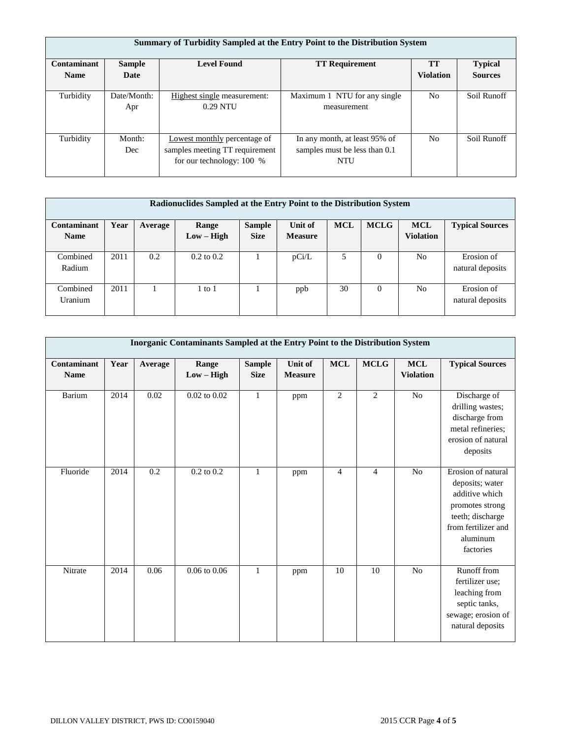|             | Summary of Turbidity Sampled at the Entry Point to the Distribution System |                                                                                             |                                                                       |                  |                |  |  |  |  |  |
|-------------|----------------------------------------------------------------------------|---------------------------------------------------------------------------------------------|-----------------------------------------------------------------------|------------------|----------------|--|--|--|--|--|
| Contaminant | <b>Sample</b>                                                              | <b>Level Found</b>                                                                          | <b>TT Requirement</b>                                                 | TT               | <b>Typical</b> |  |  |  |  |  |
| <b>Name</b> | Date                                                                       |                                                                                             |                                                                       | <b>Violation</b> | <b>Sources</b> |  |  |  |  |  |
| Turbidity   | Date/Month:<br>Apr                                                         | Highest single measurement:<br>$0.29$ NTU                                                   | Maximum 1 NTU for any single<br>measurement                           | No               | Soil Runoff    |  |  |  |  |  |
| Turbidity   | Month:<br>Dec                                                              | Lowest monthly percentage of<br>samples meeting TT requirement<br>for our technology: 100 % | In any month, at least 95% of<br>samples must be less than 0.1<br>NTU | N <sub>o</sub>   | Soil Runoff    |  |  |  |  |  |

| Radionuclides Sampled at the Entry Point to the Distribution System |      |         |                       |               |                |            |             |                  |                        |
|---------------------------------------------------------------------|------|---------|-----------------------|---------------|----------------|------------|-------------|------------------|------------------------|
| Contaminant                                                         | Year | Average | Range                 | <b>Sample</b> | Unit of        | <b>MCL</b> | <b>MCLG</b> | <b>MCL</b>       | <b>Typical Sources</b> |
| <b>Name</b>                                                         |      |         | $Low - High$          | <b>Size</b>   | <b>Measure</b> |            |             | <b>Violation</b> |                        |
|                                                                     |      |         |                       |               |                |            |             |                  |                        |
| Combined                                                            | 2011 | 0.2     | $0.2 \text{ to } 0.2$ |               | pCi/L          | 5          | 0           | No               | Erosion of             |
| Radium                                                              |      |         |                       |               |                |            |             |                  | natural deposits       |
|                                                                     |      |         |                       |               |                |            |             |                  |                        |
| Combined                                                            | 2011 |         | to 1                  |               | ppb            | 30         | $\Omega$    | No               | Erosion of             |
| Uranium                                                             |      |         |                       |               |                |            |             |                  | natural deposits       |
|                                                                     |      |         |                       |               |                |            |             |                  |                        |

|                            | Inorganic Contaminants Sampled at the Entry Point to the Distribution System |         |                       |                              |                           |                |                |                               |                                                                                                                                                |  |  |
|----------------------------|------------------------------------------------------------------------------|---------|-----------------------|------------------------------|---------------------------|----------------|----------------|-------------------------------|------------------------------------------------------------------------------------------------------------------------------------------------|--|--|
| Contaminant<br><b>Name</b> | Year                                                                         | Average | Range<br>$Low - High$ | <b>Sample</b><br><b>Size</b> | Unit of<br><b>Measure</b> | $\bf MCL$      | <b>MCLG</b>    | $\bf MCL$<br><b>Violation</b> | <b>Typical Sources</b>                                                                                                                         |  |  |
| Barium                     | 2014                                                                         | 0.02    | $0.02$ to $0.02$      | $\mathbf{1}$                 | ppm                       | $\overline{2}$ | 2              | N <sub>o</sub>                | Discharge of<br>drilling wastes;<br>discharge from<br>metal refineries;<br>erosion of natural<br>deposits                                      |  |  |
| Fluoride                   | 2014                                                                         | 0.2     | $0.2$ to $0.2$        | $\mathbf{1}$                 | ppm                       | $\overline{4}$ | $\overline{4}$ | N <sub>o</sub>                | Erosion of natural<br>deposits; water<br>additive which<br>promotes strong<br>teeth; discharge<br>from fertilizer and<br>aluminum<br>factories |  |  |
| Nitrate                    | 2014                                                                         | 0.06    | $0.06$ to $0.06$      | $\mathbf{1}$                 | ppm                       | 10             | 10             | No                            | Runoff from<br>fertilizer use;<br>leaching from<br>septic tanks,<br>sewage; erosion of<br>natural deposits                                     |  |  |